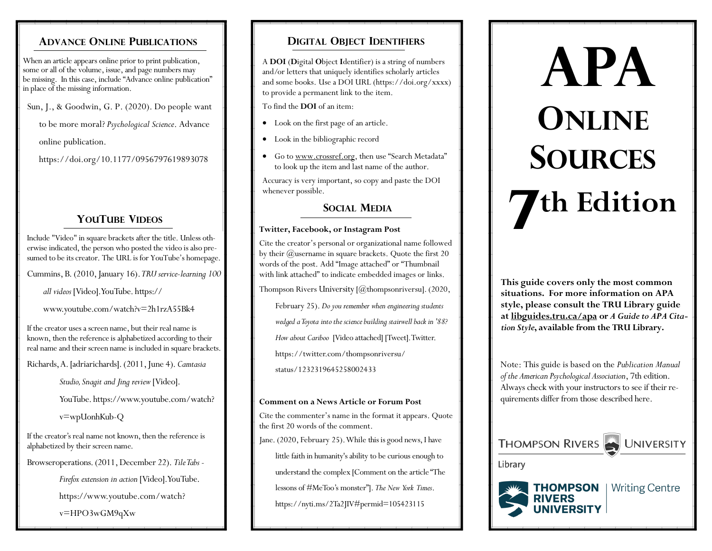# **ADVANCE ONLINE PUBLICATIONS**

When an article appears online prior to print publication, some or all of the volume, issue, and page numbers may be missing. In this case, include "Advance online publication" in place of the missing information.

Sun, J., & Goodwin, G. P. (2020). Do people want

to be more moral? *Psychological Science*. Advance

online publication.

https://doi.org/10.1177/0956797619893078

# **YOUTUBE VIDEOS**

Include "Video" in square brackets after the title. Unless otherwise indicated, the person who posted the video is also presumed to be its creator. The URL is for YouTube's homepage.

Cummins, B. (2010, January 16).*TRU service-learning 100* 

*all videos* [Video]. YouTube. https://

www.youtube.com/watch?v=2h1rzA55Bk4

If the creator uses a screen name, but their real name is known, then the reference is alphabetized according to their real name and their screen name is included in square brackets.

Richards, A. [adriarichards]. (2011, June 4). *Camtasia* 

*Studio, Snagit and Jing review* [Video].

YouTube. https://www.youtube.com/watch?

v=wpUonhKub-Q

If the creator's real name not known, then the reference is alphabetized by their screen name.

Browseroperations. (2011, December 22). *Tile Tabs -*

*Firefox extension in action* [Video]. YouTube.

https://www.youtube.com/watch?

v=HPO3wGM9qXw

# **DIGITAL OBJECT IDENTIFIERS**

A **DOI** (**D**igital **O**bject **I**dentifier) is a string of numbers and/or letters that uniquely identifies scholarly articles and some books. Use a DOI URL (https://doi.org/xxxx) to provide a permanent link to the item.

To find the **DOI** of an item:

- Look on the first page of an article.
- Look in the bibliographic record
- Go to www.crossref.org, then use "Search Metadata" to look up the item and last name of the author.

Accuracy is very important, so copy and paste the DOI whenever possible.

# **SOCIAL MEDIA**

## **Twitter, Facebook, or Instagram Post**

Cite the creator's personal or organizational name followed by their @username in square brackets. Quote the first 20 words of the post. Add "Image attached" or "Thumbnail with link attached" to indicate embedded images or links.

Thompson Rivers University [@thompsonriversu]. (2020,

February 25). *Do you remember when engineering students* 

*wedged a Toyota into the science building stairwell back in '88?* 

*How about Cariboo* [Video attached] [Tweet]. Twitter.

https://twitter.com/thompsonriversu/

status/1232319645258002433

## **Comment on a News Article or Forum Post**

Cite the commenter's name in the format it appears. Quote the first 20 words of the comment.

Jane. (2020, February 25). While this is good news, I have

little faith in humanity's ability to be curious enough to

understand the complex [Comment on the article "The

lessons of #MeToo's monster"]. *The New York Times*.

https://nyti.ms/2Ta2JIV#permid=105423115

# **APA ONLINE SOURCES 7 th Edition**

**This guide covers only the most common situations. For more information on APA style, please consult the TRU Library guide at libguides.tru.ca/apa or** *A Guide to APA Citation Style***, available from the TRU Library.**

Note: This guide is based on the *Publication Manual of the American Psychological Association*, 7th edition. Always check with your instructors to see if their requirements differ from those described here.